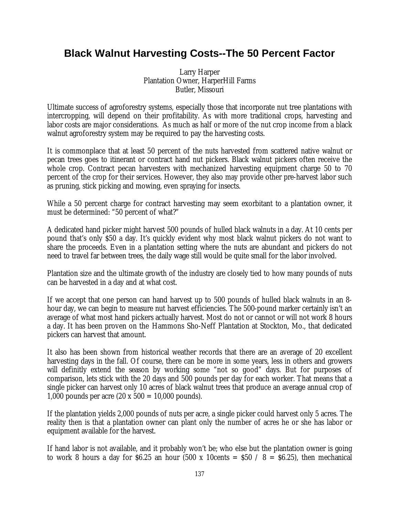# **Black Walnut Harvesting Costs--The 50 Percent Factor**

Larry Harper Plantation Owner, HarperHill Farms Butler, Missouri

Ultimate success of agroforestry systems, especially those that incorporate nut tree plantations with intercropping, will depend on their profitability. As with more traditional crops, harvesting and labor costs are major considerations. As much as half or more of the nut crop income from a black walnut agroforestry system may be required to pay the harvesting costs.

It is commonplace that at least 50 percent of the nuts harvested from scattered native walnut or pecan trees goes to itinerant or contract hand nut pickers. Black walnut pickers often receive the whole crop. Contract pecan harvesters with mechanized harvesting equipment charge 50 to 70 percent of the crop for their services. However, they also may provide other pre-harvest labor such as pruning, stick picking and mowing, even spraying for insects.

While a 50 percent charge for contract harvesting may seem exorbitant to a plantation owner, it must be determined: "50 percent of what?"

A dedicated hand picker might harvest 500 pounds of hulled black walnuts in a day. At 10 cents per pound that's only \$50 a day. It's quickly evident why most black walnut pickers do not want to share the proceeds. Even in a plantation setting where the nuts are abundant and pickers do not need to travel far between trees, the daily wage still would be quite small for the labor involved.

Plantation size and the ultimate growth of the industry are closely tied to how many pounds of nuts can be harvested in a day and at what cost.

If we accept that one person can hand harvest up to 500 pounds of hulled black walnuts in an 8 hour day, we can begin to measure nut harvest efficiencies. The 500-pound marker certainly isn't an average of what most hand pickers actually harvest. Most do not or cannot or will not work 8 hours a day. It has been proven on the Hammons Sho-Neff Plantation at Stockton, Mo., that dedicated pickers can harvest that amount.

It also has been shown from historical weather records that there are an average of 20 excellent harvesting days in the fall. Of course, there can be more in some years, less in others and growers will definitly extend the season by working some "not so good" days. But for purposes of comparison, lets stick with the 20 days and 500 pounds per day for each worker. That means that a single picker can harvest only 10 acres of black walnut trees that produce an average annual crop of 1,000 pounds per acre  $(20 \times 500 = 10,000$  pounds).

If the plantation yields 2,000 pounds of nuts per acre, a single picker could harvest only 5 acres. The reality then is that a plantation owner can plant only the number of acres he or she has labor or equipment available for the harvest.

If hand labor is not available, and it probably won't be; who else but the plantation owner is going to work 8 hours a day for \$6.25 an hour (500 x 10cents =  $$50 / 8 = $6.25$ ), then mechanical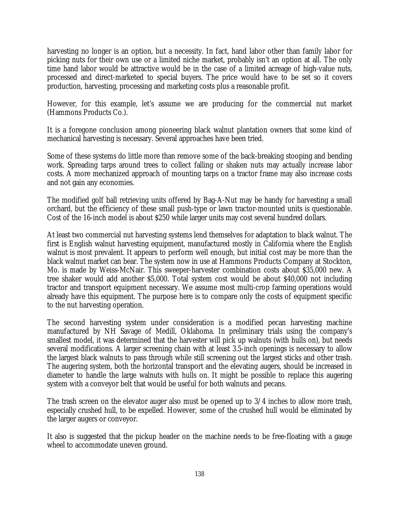harvesting no longer is an option, but a necessity. In fact, hand labor other than family labor for picking nuts for their own use or a limited niche market, probably isn't an option at all. The only time hand labor would be attractive would be in the case of a limited acreage of high-value nuts, processed and direct-marketed to special buyers. The price would have to be set so it covers production, harvesting, processing and marketing costs plus a reasonable profit.

However, for this example, let's assume we are producing for the commercial nut market (Hammons Products Co.).

It is a foregone conclusion among pioneering black walnut plantation owners that some kind of mechanical harvesting is necessary. Several approaches have been tried.

Some of these systems do little more than remove some of the back-breaking stooping and bending work. Spreading tarps around trees to collect falling or shaken nuts may actually increase labor costs. A more mechanized approach of mounting tarps on a tractor frame may also increase costs and not gain any economies.

The modified golf ball retrieving units offered by Bag-A-Nut may be handy for harvesting a small orchard, but the efficiency of these small push-type or lawn tractor-mounted units is questionable. Cost of the 16-inch model is about \$250 while larger units may cost several hundred dollars.

At least two commercial nut harvesting systems lend themselves for adaptation to black walnut. The first is English walnut harvesting equipment, manufactured mostly in California where the English walnut is most prevalent. It appears to perform well enough, but initial cost may be more than the black walnut market can bear. The system now in use at Hammons Products Company at Stockton, Mo. is made by Weiss-McNair. This sweeper-harvester combination costs about \$35,000 new. A tree shaker would add another \$5,000. Total system cost would be about \$40,000 not including tractor and transport equipment necessary. We assume most multi-crop farming operations would already have this equipment. The purpose here is to compare only the costs of equipment specific to the nut harvesting operation.

The second harvesting system under consideration is a modified pecan harvesting machine manufactured by NH Savage of Medill, Oklahoma. In preliminary trials using the company's smallest model, it was determined that the harvester will pick up walnuts (with hulls on), but needs several modifications. A larger screening chain with at least 3.5-inch openings is necessary to allow the largest black walnuts to pass through while still screening out the largest sticks and other trash. The augering system, both the horizontal transport and the elevating augers, should be increased in diameter to handle the large walnuts with hulls on. It might be possible to replace this augering system with a conveyor belt that would be useful for both walnuts and pecans.

The trash screen on the elevator auger also must be opened up to 3/4 inches to allow more trash, especially crushed hull, to be expelled. However, some of the crushed hull would be eliminated by the larger augers or conveyor.

It also is suggested that the pickup header on the machine needs to be free-floating with a gauge wheel to accommodate uneven ground.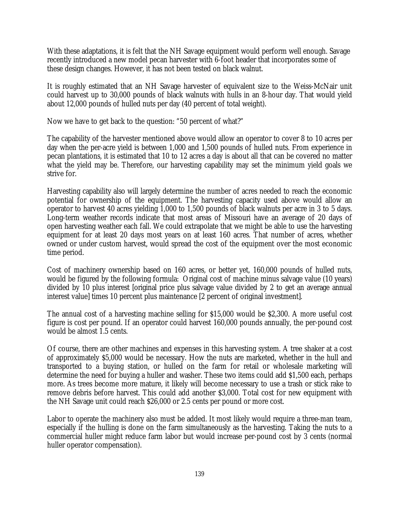With these adaptations, it is felt that the NH Savage equipment would perform well enough. Savage recently introduced a new model pecan harvester with 6-foot header that incorporates some of these design changes. However, it has not been tested on black walnut.

It is roughly estimated that an NH Savage harvester of equivalent size to the Weiss-McNair unit could harvest up to 30,000 pounds of black walnuts with hulls in an 8-hour day. That would yield about 12,000 pounds of hulled nuts per day (40 percent of total weight).

Now we have to get back to the question: "50 percent of what?"

The capability of the harvester mentioned above would allow an operator to cover 8 to 10 acres per day when the per-acre yield is between 1,000 and 1,500 pounds of hulled nuts. From experience in pecan plantations, it is estimated that 10 to 12 acres a day is about all that can be covered no matter what the yield may be. Therefore, our harvesting capability may set the minimum yield goals we strive for.

Harvesting capability also will largely determine the number of acres needed to reach the economic potential for ownership of the equipment. The harvesting capacity used above would allow an operator to harvest 40 acres yielding 1,000 to 1,500 pounds of black walnuts per acre in 3 to 5 days. Long-term weather records indicate that most areas of Missouri have an average of 20 days of open harvesting weather each fall. We could extrapolate that we might be able to use the harvesting equipment for at least 20 days most years on at least 160 acres. That number of acres, whether owned or under custom harvest, would spread the cost of the equipment over the most economic time period.

Cost of machinery ownership based on 160 acres, or better yet, 160,000 pounds of hulled nuts, would be figured by the following formula: Original cost of machine minus salvage value (10 years) divided by 10 plus interest [original price plus salvage value divided by 2 to get an average annual interest value] times 10 percent plus maintenance [2 percent of original investment].

The annual cost of a harvesting machine selling for \$15,000 would be \$2,300. A more useful cost figure is cost per pound. If an operator could harvest 160,000 pounds annually, the per-pound cost would be almost 1.5 cents.

Of course, there are other machines and expenses in this harvesting system. A tree shaker at a cost of approximately \$5,000 would be necessary. How the nuts are marketed, whether in the hull and transported to a buying station, or hulled on the farm for retail or wholesale marketing will determine the need for buying a huller and washer. These two items could add \$1,500 each, perhaps more. As trees become more mature, it likely will become necessary to use a trash or stick rake to remove debris before harvest. This could add another \$3,000. Total cost for new equipment with the NH Savage unit could reach \$26,000 or 2.5 cents per pound or more cost.

Labor to operate the machinery also must be added. It most likely would require a three-man team, especially if the hulling is done on the farm simultaneously as the harvesting. Taking the nuts to a commercial huller might reduce farm labor but would increase per-pound cost by 3 cents (normal huller operator compensation).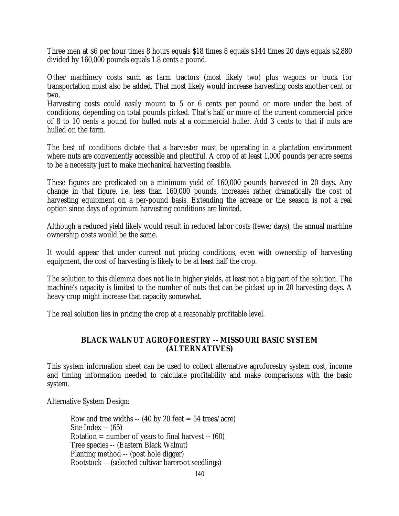Three men at \$6 per hour times 8 hours equals \$18 times 8 equals \$144 times 20 days equals \$2,880 divided by 160,000 pounds equals 1.8 cents a pound.

Other machinery costs such as farm tractors (most likely two) plus wagons or truck for transportation must also be added. That most likely would increase harvesting costs another cent or two.

Harvesting costs could easily mount to 5 or 6 cents per pound or more under the best of conditions, depending on total pounds picked. That's half or more of the current commercial price of 8 to 10 cents a pound for hulled nuts at a commercial huller. Add 3 cents to that if nuts are hulled on the farm.

The best of conditions dictate that a harvester must be operating in a plantation environment where nuts are conveniently accessible and plentiful. A crop of at least 1,000 pounds per acre seems to be a necessity just to make mechanical harvesting feasible.

These figures are predicated on a minimum yield of 160,000 pounds harvested in 20 days. Any change in that figure, i.e. less than 160,000 pounds, increases rather dramatically the cost of harvesting equipment on a per-pound basis. Extending the acreage or the season is not a real option since days of optimum harvesting conditions are limited.

Although a reduced yield likely would result in reduced labor costs (fewer days), the annual machine ownership costs would be the same.

It would appear that under current nut pricing conditions, even with ownership of harvesting equipment, the cost of harvesting is likely to be at least half the crop.

The solution to this dilemma does not lie in higher yields, at least not a big part of the solution. The machine's capacity is limited to the number of nuts that can be picked up in 20 harvesting days. A heavy crop might increase that capacity somewhat.

The real solution lies in pricing the crop at a reasonably profitable level.

## **BLACK WALNUT AGROFORESTRY -- MISSOURI BASIC SYSTEM (ALTERNATIVES)**

This system information sheet can be used to collect alternative agroforestry system cost, income and timing information needed to calculate profitability and make comparisons with the basic system.

Alternative System Design:

Row and tree widths  $-$  (40 by 20 feet  $=$  54 trees/acre) Site Index -- (65) Rotation  $=$  number of years to final harvest  $-$  (60) Tree species -- (Eastern Black Walnut) Planting method -- (post hole digger) Rootstock -- (selected cultivar bareroot seedlings)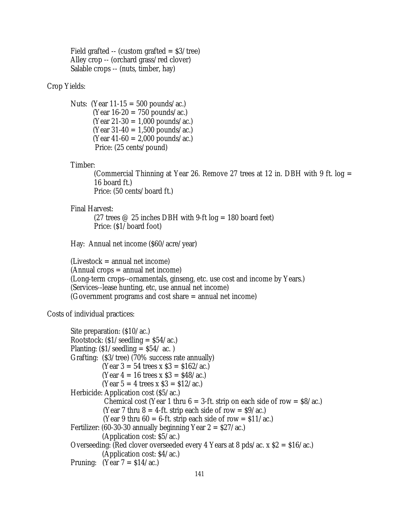Field grafted  $-$  (custom grafted  $=$  \$3/tree) Alley crop -- (orchard grass/red clover) Salable crops -- (nuts, timber, hay)

## Crop Yields:

Nuts: (Year  $11-15 = 500$  pounds/ac.)  $(Year 16-20 = 750$  pounds/ac.)  $(Year 21-30 = 1,000 pounds/ac.)$  $(Year 31-40 = 1,500 pounds/ac.)$  $(Year 41-60 = 2,000 pounds/ac.)$ Price: (25 cents/pound)

#### Timber:

(Commercial Thinning at Year 26. Remove 27 trees at 12 in. DBH with 9 ft.  $log =$ 16 board ft.) Price: (50 cents/board ft.)

#### Final Harvest:

(27 trees  $\oslash$  25 inches DBH with 9-ft log = 180 board feet) Price: (\$1/board foot)

Hay: Annual net income (\$60/acre/year)

 $(Livestock = annual net income)$ (Annual crops = annual net income) (Long-term crops--ornamentals, ginseng, etc. use cost and income by Years.) (Services--lease hunting, etc, use annual net income) (Government programs and cost share = annual net income)

### Costs of individual practices:

```
Site preparation: ($10/ac.)
Rootstock: \frac{\S1}{\text{seedling}} = \frac{\S4}{\text{ac.}}Planting: \frac{S1}{seeding} = \frac{S54}{ac}.
Grafting: ($3/tree) (70% success rate annually)
           (Year 3 = 54 trees x $3 = $162/ac.
           (Year 4 = 16 trees x $3 = $48/ac.)
           (Year 5 = 4 trees x $3 = $12/ac.)
Herbicide: Application cost ($5/ac.)
           Chemical cost (Year 1 thru 6 = 3-ft. strip on each side of row = $8/ac.)
           (Year 7 thru 8 = 4-ft. strip each side of row = $9/ac.)
           (Year 9 thru 60 = 6-ft. strip each side of row = $11/ac.)
Fertilizer: (60-30-30 annually beginning Year 2 = \frac{27}{ac}.)
            (Application cost: $5/ac.)
Overseeding: (Red clover overseeded every 4 Years at 8 pds/ac. x $2 = $16/ac.)
            (Application cost: $4/ac.)
Pruning: (Year 7 = \frac{$14}{ac})
```